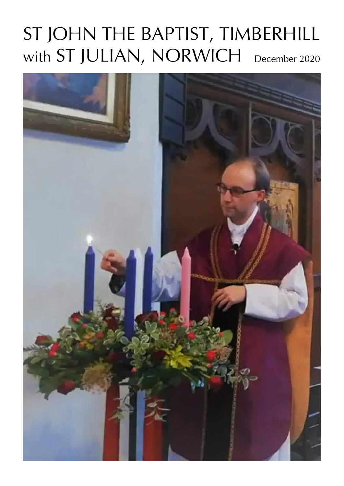# with  $ST$  JULIAN, NORWICH  $_{\tiny{\text{December 2020}}}$ ST JOHN THE BAPTIST, TIMBERHILL

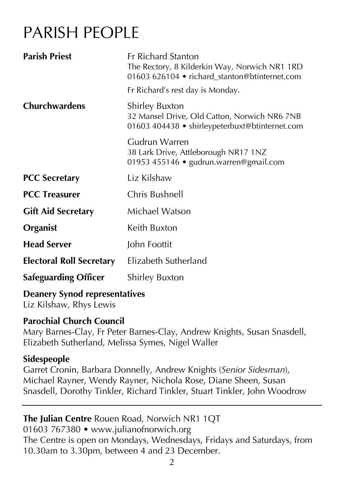# PARISH PEOPLE

| <b>Parish Priest</b>                      | <b>Fr Richard Stanton</b><br>The Rectory, 8 Kilderkin Way, Norwich NR1 1RD<br>01603 626104 • richard_stanton@btinternet.com |  |
|-------------------------------------------|-----------------------------------------------------------------------------------------------------------------------------|--|
|                                           | Fr Richard's rest day is Monday.                                                                                            |  |
| <b>Churchwardens</b>                      | <b>Shirley Buxton</b><br>32 Mansel Drive, Old Catton, Norwich NR6 7NB<br>01603 404438 • shirleypeterbuxt@btinternet.com     |  |
|                                           | Gudrun Warren<br>38 Lark Drive, Attleborough NR17 1NZ<br>01953 455146 · gudrun.warren@gmail.com                             |  |
| <b>PCC Secretary</b>                      | Liz Kilshaw                                                                                                                 |  |
| <b>PCC Treasurer</b>                      | Chris Bushnell                                                                                                              |  |
| <b>Gift Aid Secretary</b>                 | Michael Watson                                                                                                              |  |
| Organist                                  | Keith Buxton                                                                                                                |  |
| <b>Head Server</b>                        | John Foottit                                                                                                                |  |
| <b>Electoral Roll Secretary</b>           | Elizabeth Sutherland                                                                                                        |  |
| <b>Safeguarding Officer</b>               | <b>Shirley Buxton</b>                                                                                                       |  |
| Desember Compatible and a series of the C |                                                                                                                             |  |

#### **Deanery Synod representatives**

Liz Kilshaw, Rhys Lewis

#### **Parochial Church Council**

Mary Barnes-Clay, Fr Peter Barnes-Clay, Andrew Knights, Susan Snasdell, Elizabeth Sutherland, Melissa Symes, Nigel Waller

#### **Sidespeople**

Garret Cronin, Barbara Donnelly, Andrew Knights (*Senior Sidesman*), Michael Rayner, Wendy Rayner, Nichola Rose, Diane Sheen, Susan Snasdell, Dorothy Tinkler, Richard Tinkler, Stuart Tinkler, John Woodrow

#### **The Julian Centre** Rouen Road, Norwich NR1 1QT 01603 767380 • www.julianofnorwich.org The Centre is open on Mondays, Wednesdays, Fridays and Saturdays, from 10.30am to 3.30pm, between 4 and 23 December.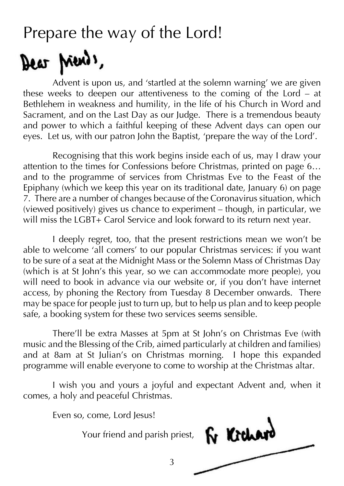### Prepare the way of the Lord!

# Dear Ments,

Advent is upon us, and 'startled at the solemn warning' we are given these weeks to deepen our attentiveness to the coming of the Lord – at Bethlehem in weakness and humility, in the life of his Church in Word and Sacrament, and on the Last Day as our Judge. There is a tremendous beauty and power to which a faithful keeping of these Advent days can open our eyes. Let us, with our patron John the Baptist, 'prepare the way of the Lord'.

Recognising that this work begins inside each of us, may I draw your attention to the times for Confessions before Christmas, printed on page 6… and to the programme of services from Christmas Eve to the Feast of the Epiphany (which we keep this year on its traditional date, January 6) on page 7. There are a number of changes because of the Coronavirus situation, which (viewed positively) gives us chance to experiment – though, in particular, we will miss the LGBT+ Carol Service and look forward to its return next year.

I deeply regret, too, that the present restrictions mean we won't be able to welcome 'all comers' to our popular Christmas services: if you want to be sure of a seat at the Midnight Mass or the Solemn Mass of Christmas Day (which is at St John's this year, so we can accommodate more people), you will need to book in advance via our website or, if you don't have internet access, by phoning the Rectory from Tuesday 8 December onwards. There may be space for people just to turn up, but to help us plan and to keep people safe, a booking system for these two services seems sensible.

There'll be extra Masses at 5pm at St John's on Christmas Eve (with music and the Blessing of the Crib, aimed particularly at children and families) and at 8am at St Julian's on Christmas morning. I hope this expanded programme will enable everyone to come to worship at the Christmas altar.

I wish you and yours a joyful and expectant Advent and, when it comes, a holy and peaceful Christmas.

3

Even so, come, Lord Jesus!

Your friend and parish priest,

Fr Kichan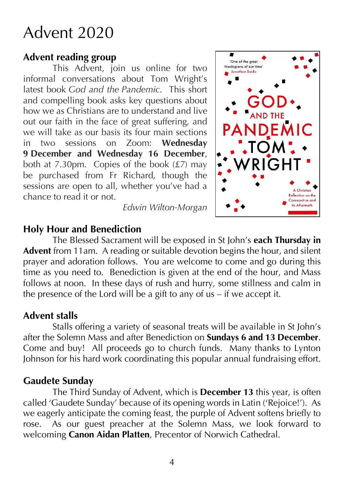# Advent 2020

#### **Advent reading group**

This Advent, join us online for two informal conversations about Tom Wright's latest book *God and the Pandemic*. This short and compelling book asks key questions about how we as Christians are to understand and live out our faith in the face of great suffering, and we will take as our basis its four main sections in two sessions on Zoom: **Wednesday 9 December and Wednesday 16 December**, both at 7.30pm. Copies of the book  $(E7)$  may be purchased from Fr Richard, though the sessions are open to all, whether you've had a chance to read it or not.

*Edwin Wilton-Morgan*



#### **Holy Hour and Benediction**

The Blessed Sacrament will be exposed in St John's **each Thursday in Advent** from 11am. A reading or suitable devotion begins the hour, and silent prayer and adoration follows. You are welcome to come and go during this time as you need to. Benediction is given at the end of the hour, and Mass follows at noon. In these days of rush and hurry, some stillness and calm in the presence of the Lord will be a gift to any of us – if we accept it.

#### **Advent stalls**

Stalls offering a variety of seasonal treats will be available in St John's after the Solemn Mass and after Benediction on **Sundays 6 and 13 December**. Come and buy! All proceeds go to church funds. Many thanks to Lynton Johnson for his hard work coordinating this popular annual fundraising effort.

### **Gaudete Sunday**

The Third Sunday of Advent, which is **December 13** this year, is often called 'Gaudete Sunday' because of its opening words in Latin ('Rejoice!'). As we eagerly anticipate the coming feast, the purple of Advent softens briefly to rose. As our guest preacher at the Solemn Mass, we look forward to welcoming **Canon Aidan Platten**, Precentor of Norwich Cathedral.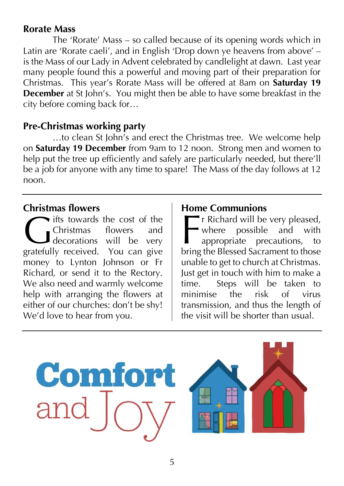#### **Rorate Mass**

The 'Rorate' Mass – so called because of its opening words which in Latin are 'Rorate caeli', and in English 'Drop down ye heavens from above' – is the Mass of our Lady in Advent celebrated by candlelight at dawn. Last year many people found this a powerful and moving part of their preparation for Christmas. This year's Rorate Mass will be offered at 8am on **Saturday 19 December** at St John's. You might then be able to have some breakfast in the city before coming back for…

#### **Pre-Christmas working party**

…to clean St John's and erect the Christmas tree. We welcome help on **Saturday 19 December** from 9am to 12 noon. Strong men and women to help put the tree up efficiently and safely are particularly needed, but there'll be a job for anyone with any time to spare! The Mass of the day follows at 12 noon.

#### **Christmas flowers**

**ifts towards the cost of the** Christmas flowers and decorations will be very gratefully received. You can give money to Lynton Johnson or Fr Richard, or send it to the Rectory. We also need and warmly welcome help with arranging the flowers at either of our churches: don't be shy! We'd love to hear from you. Grifts towards the cost of the<br>Christmas flowers and<br>decorations will be very<br>gratefully received. You can give

#### **Home Communions**

r Richard will be very pleased, where possible and with appropriate precautions, to bring the Blessed Sacrament to those unable to get to church at Christmas. Just get in touch with him to make a time. Steps will be taken to minimise the risk of virus transmission, and thus the length of the visit will be shorter than usual.



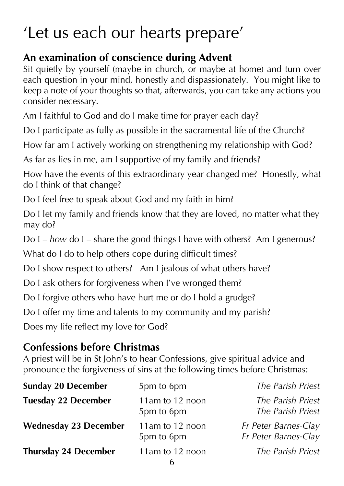# 'Let us each our hearts prepare'

### **An examination of conscience during Advent**

Sit quietly by yourself (maybe in church, or maybe at home) and turn over each question in your mind, honestly and dispassionately. You might like to keep a note of your thoughts so that, afterwards, you can take any actions you consider necessary.

Am I faithful to God and do I make time for prayer each day?

Do I participate as fully as possible in the sacramental life of the Church?

How far am I actively working on strengthening my relationship with God?

As far as lies in me, am I supportive of my family and friends?

How have the events of this extraordinary year changed me? Honestly, what do I think of that change?

Do I feel free to speak about God and my faith in him?

Do I let my family and friends know that they are loved, no matter what they may do?

Do I – *how* do I – share the good things I have with others? Am I generous?

What do I do to help others cope during difficult times?

Do I show respect to others? Am I jealous of what others have?

Do I ask others for forgiveness when I've wronged them?

Do I forgive others who have hurt me or do I hold a grudge?

Do I offer my time and talents to my community and my parish?

Does my life reflect my love for God?

### **Confessions before Christmas**

A priest will be in St John's to hear Confessions, give spiritual advice and pronounce the forgiveness of sins at the following times before Christmas:

| <b>Sunday 20 December</b>    | 5pm to 6pm                    | The Parish Priest                            |
|------------------------------|-------------------------------|----------------------------------------------|
| <b>Tuesday 22 December</b>   | 11am to 12 noon<br>5pm to 6pm | The Parish Priest<br>The Parish Priest       |
| <b>Wednesday 23 December</b> | 11am to 12 noon<br>5pm to 6pm | Fr Peter Barnes-Clay<br>Fr Peter Barnes-Clay |
| <b>Thursday 24 December</b>  | 11am to 12 noon               | The Parish Priest                            |
|                              |                               |                                              |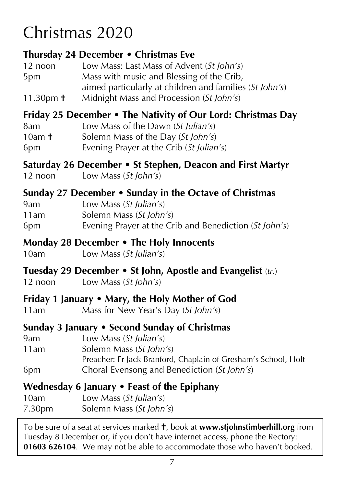# Christmas 2020

### **Thursday 24 December • Christmas Eve**

12 noon Low Mass: Last Mass of Advent (*St John's*) 5pm Mass with music and Blessing of the Crib, aimed particularly at children and families (*St John's*) 11.30pm **†** Midnight Mass and Procession (*St John's*) **Friday 25 December • The Nativity of Our Lord: Christmas Day** 8am Low Mass of the Dawn (*St Julian's*) 10am **†** Solemn Mass of the Day (*St John's*) 6pm Evening Prayer at the Crib (*St Julian's*)

#### **Saturday 26 December • St Stephen, Deacon and First Martyr**

12 noon Low Mass (*St John's*)

### **Sunday 27 December • Sunday in the Octave of Christmas**

9am Low Mass (*St Julian's*) 11am Solemn Mass (*St John's*) 6pm Evening Prayer at the Crib and Benediction (*St John's*)

### **Monday 28 December • The Holy Innocents**

10am Low Mass (*St Julian's*)

### **Tuesday 29 December • St John, Apostle and Evangelist** (*tr.*)

12 noon Low Mass (*St John's*)

### **Friday 1 January • Mary, the Holy Mother of God**

11am Mass for New Year's Day (*St John's*)

### **Sunday 3 January • Second Sunday of Christmas**

- 9am Low Mass (*St Julian's*)
- 11am Solemn Mass (*St John's*)
- Preacher: Fr Jack Branford, Chaplain of Gresham's School, Holt 6pm Choral Evensong and Benediction (*St John's*)

### **Wednesday 6 January • Feast of the Epiphany**

| 10am   | Low Mass $(St$ Julian's) |
|--------|--------------------------|
| 7.30pm | Solemn Mass (St John's)  |

To be sure of a seat at services marked **†**, book at **www.stjohnstimberhill.org** from Tuesday 8 December or, if you don't have internet access, phone the Rectory: **01603 626104**. We may not be able to accommodate those who haven't booked.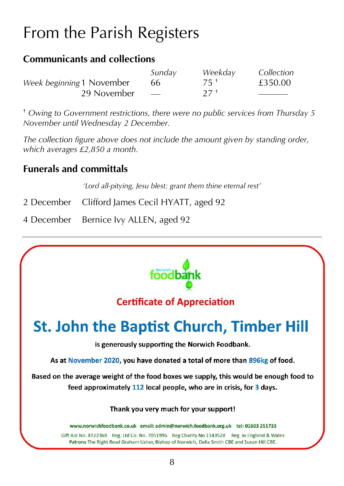# From the Parish Registers

#### **Communicants and collections**

|                           | Sunday                   | Weekday         | Collection |
|---------------------------|--------------------------|-----------------|------------|
| Week beginning 1 November | 66                       | 75 +            | £350.00    |
| 29 November               | $\overline{\phantom{a}}$ | 27 <sup>†</sup> |            |

† *Owing to Government restrictions, there were no public services from Thursday 5 November until Wednesday 2 December.*

*The collection figure above does not include the amount given by standing order, which averages £2,850 a month.*

### **Funerals and committals**

*'Lord all-pitying, Jesu blest: grant them thine eternal rest'*

- 2 December Clifford James Cecil HYATT, aged 92
- 4 December Bernice Ivy ALLEN, aged 92

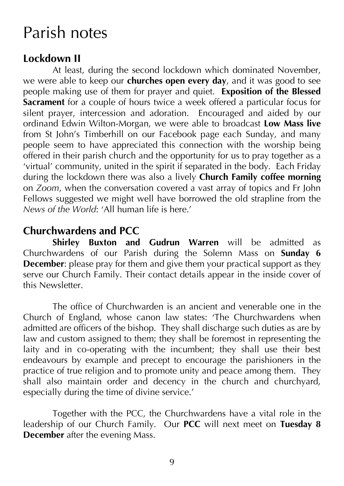### Parish notes

#### **Lockdown II**

At least, during the second lockdown which dominated November, we were able to keep our **churches open every day**, and it was good to see people making use of them for prayer and quiet. **Exposition of the Blessed Sacrament** for a couple of hours twice a week offered a particular focus for silent prayer, intercession and adoration. Encouraged and aided by our ordinand Edwin Wilton-Morgan, we were able to broadcast **Low Mass live** from St John's Timberhill on our Facebook page each Sunday, and many people seem to have appreciated this connection with the worship being offered in their parish church and the opportunity for us to pray together as a 'virtual' community, united in the spirit if separated in the body. Each Friday during the lockdown there was also a lively **Church Family coffee morning** on *Zoom*, when the conversation covered a vast array of topics and Fr John Fellows suggested we might well have borrowed the old strapline from the *News of the World*: 'All human life is here.'

### **Churchwardens and PCC**

**Shirley Buxton and Gudrun Warren** will be admitted as Churchwardens of our Parish during the Solemn Mass on **Sunday 6 December:** please pray for them and give them your practical support as they serve our Church Family. Their contact details appear in the inside cover of this Newsletter.

The office of Churchwarden is an ancient and venerable one in the Church of England, whose canon law states: 'The Churchwardens when admitted are officers of the bishop. They shall discharge such duties as are by law and custom assigned to them; they shall be foremost in representing the laity and in co-operating with the incumbent; they shall use their best endeavours by example and precept to encourage the parishioners in the practice of true religion and to promote unity and peace among them. They shall also maintain order and decency in the church and churchyard, especially during the time of divine service.'

Together with the PCC, the Churchwardens have a vital role in the leadership of our Church Family. Our **PCC** will next meet on **Tuesday 8 December** after the evening Mass.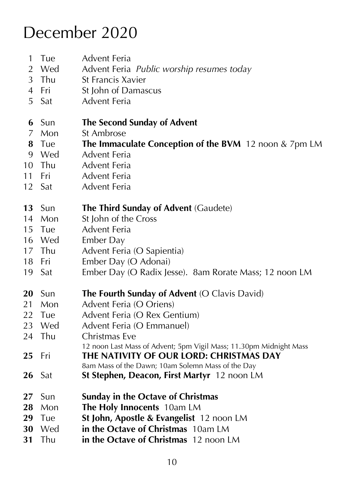# December 2020

Tue Advent Feria

 Wed Advent Feria *Public worship resumes today* St Francis Xavier Fri St John of Damascus Sat Advent Feria Sun **The Second Sunday of Advent** Mon St Ambrose Tue **The Immaculate Conception of the BVM** 12 noon & 7pm LM<br>9 Wed Advent Feria Advent Feria Thu Advent Feria Fri Advent Feria Sat Advent Feria Sun **The Third Sunday of Advent** (Gaudete) 14 Mon St John of the Cross Tue Advent Feria Wed Ember Day Thu Advent Feria (O Sapientia) Fri Ember Day (O Adonai) Sat Ember Day (O Radix Jesse). 8am Rorate Mass; 12 noon LM Sun **The Fourth Sunday of Advent** (O Clavis David) 21 Mon Advent Feria (O Oriens) 22 Tue Advent Feria (O Rex Gentium) Wed Advent Feria (O Emmanuel) 24 Thu Christmas Eve 12 noon Last Mass of Advent; 5pm Vigil Mass; 11.30pm Midnight Mass Fri **THE NATIVITY OF OUR LORD: CHRISTMAS DAY** 8am Mass of the Dawn; 10am Solemn Mass of the Day Sat **St Stephen, Deacon, First Martyr** 12 noon LM Sun **Sunday in the Octave of Christmas** Mon **The Holy Innocents** 10am LM Tue **St John, Apostle & Evangelist** 12 noon LM Wed **in the Octave of Christmas** 10am LM Thu **in the Octave of Christmas** 12 noon LM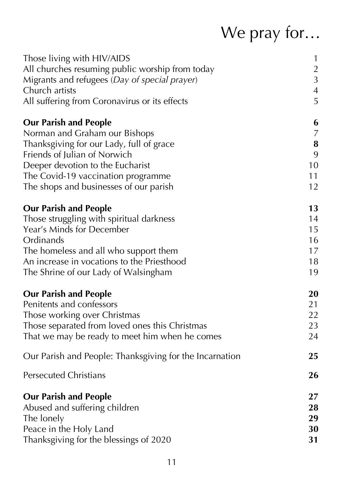# We pray for…

| Those living with HIV/AIDS                              | $\mathbf{1}$     |
|---------------------------------------------------------|------------------|
| All churches resuming public worship from today         | $\overline{2}$   |
| Migrants and refugees (Day of special prayer)           | $\overline{3}$   |
| Church artists                                          | $\overline{4}$   |
| All suffering from Coronavirus or its effects           | 5                |
| <b>Our Parish and People</b>                            | 6                |
| Norman and Graham our Bishops                           | $\boldsymbol{7}$ |
| Thanksgiving for our Lady, full of grace                | ${\bf 8}$        |
| Friends of Julian of Norwich                            | 9                |
| Deeper devotion to the Eucharist                        | 10               |
| The Covid-19 vaccination programme                      | 11               |
| The shops and businesses of our parish                  | 12               |
| <b>Our Parish and People</b>                            | 13               |
| Those struggling with spiritual darkness                | 14               |
| Year's Minds for December                               | 15               |
| Ordinands                                               | 16               |
| The homeless and all who support them                   | 17               |
| An increase in vocations to the Priesthood              | 18               |
| The Shrine of our Lady of Walsingham                    | 19               |
| <b>Our Parish and People</b>                            | 20               |
| Penitents and confessors                                | 21               |
| Those working over Christmas                            | 22               |
| Those separated from loved ones this Christmas          | 23               |
| That we may be ready to meet him when he comes          | 24               |
| Our Parish and People: Thanksgiving for the Incarnation | 25               |
| <b>Persecuted Christians</b>                            | 26               |
| <b>Our Parish and People</b>                            | 27               |
| Abused and suffering children                           | 28               |
| The lonely                                              | 29               |
| Peace in the Holy Land                                  | 30               |
| Thanksgiving for the blessings of 2020                  | 31               |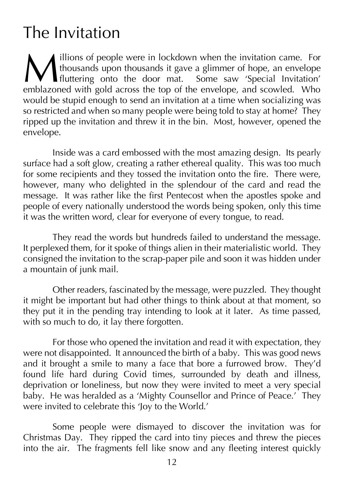# The Invitation

**illions of people were in lockdown when the invitation came. For** thousands upon thousands it gave a glimmer of hope, an envelope fluttering onto the door mat. Some saw 'Special Invitation' **Example 11** illions of people were in lockdown when the invitation came. For thousands upon thousands it gave a glimmer of hope, an envelope fluttering onto the door mat. Some saw 'Special Invitation' emblazoned with gold would be stupid enough to send an invitation at a time when socializing was so restricted and when so many people were being told to stay at home? They ripped up the invitation and threw it in the bin. Most, however, opened the envelope.

Inside was a card embossed with the most amazing design. Its pearly surface had a soft glow, creating a rather ethereal quality. This was too much for some recipients and they tossed the invitation onto the fire. There were, however, many who delighted in the splendour of the card and read the message. It was rather like the first Pentecost when the apostles spoke and people of every nationally understood the words being spoken, only this time it was the written word, clear for everyone of every tongue, to read.

They read the words but hundreds failed to understand the message. It perplexed them, for it spoke of things alien in their materialistic world. They consigned the invitation to the scrap-paper pile and soon it was hidden under a mountain of junk mail.

Other readers, fascinated by the message, were puzzled. They thought it might be important but had other things to think about at that moment, so they put it in the pending tray intending to look at it later. As time passed, with so much to do, it lay there forgotten.

For those who opened the invitation and read it with expectation, they were not disappointed. It announced the birth of a baby. This was good news and it brought a smile to many a face that bore a furrowed brow. They'd found life hard during Covid times, surrounded by death and illness, deprivation or loneliness, but now they were invited to meet a very special baby. He was heralded as a 'Mighty Counsellor and Prince of Peace.' They were invited to celebrate this 'Joy to the World.'

Some people were dismayed to discover the invitation was for Christmas Day. They ripped the card into tiny pieces and threw the pieces into the air. The fragments fell like snow and any fleeting interest quickly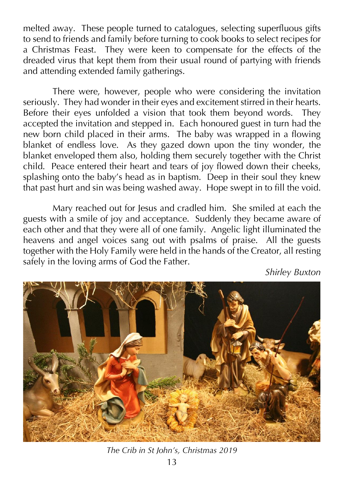melted away. These people turned to catalogues, selecting superfluous gifts to send to friends and family before turning to cook books to select recipes for a Christmas Feast. They were keen to compensate for the effects of the dreaded virus that kept them from their usual round of partying with friends and attending extended family gatherings.

There were, however, people who were considering the invitation seriously. They had wonder in their eyes and excitement stirred in their hearts. Before their eyes unfolded a vision that took them beyond words. They accepted the invitation and stepped in. Each honoured guest in turn had the new born child placed in their arms. The baby was wrapped in a flowing blanket of endless love. As they gazed down upon the tiny wonder, the blanket enveloped them also, holding them securely together with the Christ child. Peace entered their heart and tears of joy flowed down their cheeks, splashing onto the baby's head as in baptism. Deep in their soul they knew that past hurt and sin was being washed away. Hope swept in to fill the void.

Mary reached out for Jesus and cradled him. She smiled at each the guests with a smile of joy and acceptance. Suddenly they became aware of each other and that they were all of one family. Angelic light illuminated the heavens and angel voices sang out with psalms of praise. All the guests together with the Holy Family were held in the hands of the Creator, all resting safely in the loving arms of God the Father.

*Shirley Buxton*



*The Crib in St John's, Christmas 2019*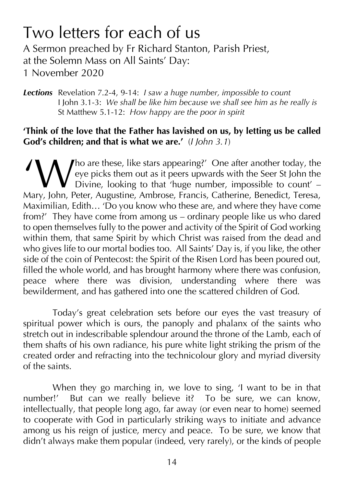# Two letters for each of us

A Sermon preached by Fr Richard Stanton, Parish Priest, at the Solemn Mass on All Saints' Day:

1 November 2020

*Lections* Revelation 7.2-4, 9-14: *I saw a huge number, impossible to count* I John 3.1-3: *We shall be like him because we shall see him as he really is* St Matthew 5.1-12: *How happy are the poor in spirit*

#### **'Think of the love that the Father has lavished on us, by letting us be called God's children; and that is what we are.'** (*I John 3.1*)

ho are these, like stars appearing?' One after another today, the eye picks them out as it peers upwards with the Seer St John the Divine, looking to that 'huge number, impossible to count' – Mary, John, Peter, Augustine, Ambrose, Francis, Catherine, Benedict, Teresa, Maximilian, Edith... 'Do you know who these are, and where they have come from?' They have come from among us – ordinary people like us who dared to open themselves fully to the power and activity of the Spirit of God working within them, that same Spirit by which Christ was raised from the dead and who gives life to our mortal bodies too. All Saints' Day is, if you like, the other side of the coin of Pentecost: the Spirit of the Risen Lord has been poured out, filled the whole world, and has brought harmony where there was confusion, peace where there was division, understanding where there was bewilderment, and has gathered into one the scattered children of God. 'W

Today's great celebration sets before our eyes the vast treasury of spiritual power which is ours, the panoply and phalanx of the saints who stretch out in indescribable splendour around the throne of the Lamb, each of them shafts of his own radiance, his pure white light striking the prism of the created order and refracting into the technicolour glory and myriad diversity of the saints.

When they go marching in, we love to sing, 'I want to be in that number!' But can we really believe it? To be sure, we can know, intellectually, that people long ago, far away (or even near to home) seemed to cooperate with God in particularly striking ways to initiate and advance among us his reign of justice, mercy and peace. To be sure, we know that didn't always make them popular (indeed, very rarely), or the kinds of people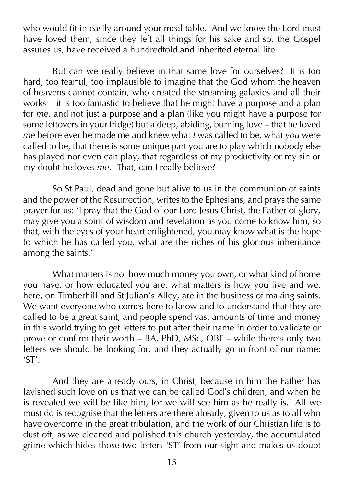who would fit in easily around your meal table. And we know the Lord must have loved them, since they left all things for his sake and so, the Gospel assures us, have received a hundredfold and inherited eternal life.

But can we really believe in that same love for ourselves? It is too hard, too fearful, too implausible to imagine that the God whom the heaven of heavens cannot contain, who created the streaming galaxies and all their works – it is too fantastic to believe that he might have a purpose and a plan for *me*, and not just a purpose and a plan (like you might have a purpose for some leftovers in your fridge) but a deep, abiding, burning love – that he loved *me* before ever he made me and knew what *I* was called to be, what *you* were called to be, that there is some unique part you are to play which nobody else has played nor even can play, that regardless of my productivity or my sin or my doubt he loves *me*. That, can I really believe?

So St Paul, dead and gone but alive to us in the communion of saints and the power of the Resurrection, writes to the Ephesians, and prays the same prayer for us: 'I pray that the God of our Lord Jesus Christ, the Father of glory, may give you a spirit of wisdom and revelation as you come to know him, so that, with the eyes of your heart enlightened, you may know what is the hope to which he has called you, what are the riches of his glorious inheritance among the saints.'

What matters is not how much money you own, or what kind of home you have, or how educated you are: what matters is how you live and we, here, on Timberhill and St Julian's Alley, are in the business of making saints. We want everyone who comes here to know and to understand that they are called to be a great saint, and people spend vast amounts of time and money in this world trying to get letters to put after their name in order to validate or prove or confirm their worth – BA, PhD, MSc, OBE – while there's only two letters we should be looking for, and they actually go in front of our name: 'ST'.

And they are already ours, in Christ, because in him the Father has lavished such love on us that we can be called God's children, and when he is revealed we will be like him, for we will see him as he really is. All we must do is recognise that the letters are there already, given to us as to all who have overcome in the great tribulation, and the work of our Christian life is to dust off, as we cleaned and polished this church yesterday, the accumulated grime which hides those two letters 'ST' from our sight and makes us doubt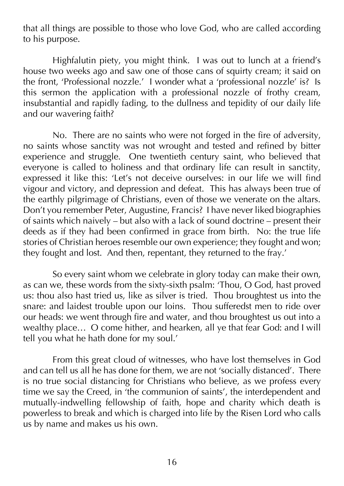that all things are possible to those who love God, who are called according to his purpose.

Highfalutin piety, you might think. I was out to lunch at a friend's house two weeks ago and saw one of those cans of squirty cream; it said on the front, 'Professional nozzle.' I wonder what a 'professional nozzle' is? Is this sermon the application with a professional nozzle of frothy cream, insubstantial and rapidly fading, to the dullness and tepidity of our daily life and our wavering faith?

No. There are no saints who were not forged in the fire of adversity, no saints whose sanctity was not wrought and tested and refined by bitter experience and struggle. One twentieth century saint, who believed that everyone is called to holiness and that ordinary life can result in sanctity, expressed it like this: 'Let's not deceive ourselves: in our life we will find vigour and victory, and depression and defeat. This has always been true of the earthly pilgrimage of Christians, even of those we venerate on the altars. Don't you remember Peter, Augustine, Francis? I have never liked biographies of saints which naively – but also with a lack of sound doctrine – present their deeds as if they had been confirmed in grace from birth. No: the true life stories of Christian heroes resemble our own experience; they fought and won; they fought and lost. And then, repentant, they returned to the fray.'

So every saint whom we celebrate in glory today can make their own, as can we, these words from the sixty-sixth psalm: 'Thou, O God, hast proved us: thou also hast tried us, like as silver is tried. Thou broughtest us into the snare: and laidest trouble upon our loins. Thou sufferedst men to ride over our heads: we went through fire and water, and thou broughtest us out into a wealthy place... O come hither, and hearken, all ye that fear God: and I will tell you what he hath done for my soul.'

From this great cloud of witnesses, who have lost themselves in God and can tell us all he has done for them, we are not 'socially distanced'. There is no true social distancing for Christians who believe, as we profess every time we say the Creed, in 'the communion of saints', the interdependent and mutually-indwelling fellowship of faith, hope and charity which death is powerless to break and which is charged into life by the Risen Lord who calls us by name and makes us his own.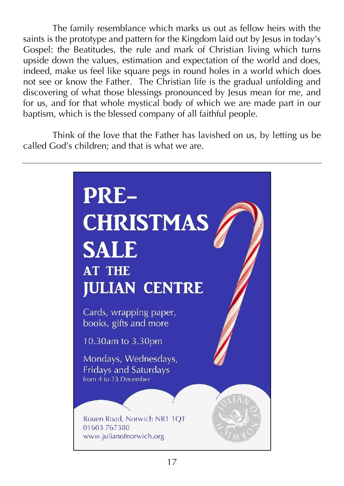The family resemblance which marks us out as fellow heirs with the saints is the prototype and pattern for the Kingdom laid out by Jesus in today's Gospel: the Beatitudes, the rule and mark of Christian living which turns upside down the values, estimation and expectation of the world and does, indeed, make us feel like square pegs in round holes in a world which does not see or know the Father. The Christian life is the gradual unfolding and discovering of what those blessings pronounced by Jesus mean for me, and for us, and for that whole mystical body of which we are made part in our baptism, which is the blessed company of all faithful people.

Think of the love that the Father has lavished on us, by letting us be called God's children; and that is what we are.

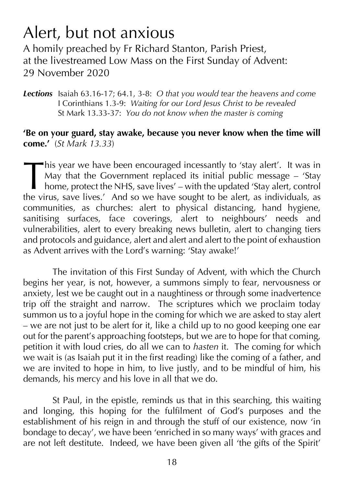# Alert, but not anxious

A homily preached by Fr Richard Stanton, Parish Priest, at the livestreamed Low Mass on the First Sunday of Advent: 29 November 2020

*Lections* Isaiah 63.16-17; 64.1, 3-8: *O that you would tear the heavens and come* I Corinthians 1.3-9: *Waiting for our Lord Jesus Christ to be revealed* St Mark 13.33-37: *You do not know when the master is coming*

#### **'Be on your guard, stay awake, because you never know when the time will come.'** (*St Mark 13.33*)

his year we have been encouraged incessantly to 'stay alert'. It was in May that the Government replaced its initial public message – 'Stay home, protect the NHS, save lives' – with the updated 'Stay alert, control his year we have been encouraged incessantly to 'stay alert'. It was in May that the Government replaced its initial public message – 'Stay home, protect the NHS, save lives' – with the updated 'Stay alert, control the vir communities, as churches: alert to physical distancing, hand hygiene, sanitising surfaces, face coverings, alert to neighbours' needs and vulnerabilities, alert to every breaking news bulletin, alert to changing tiers and protocols and guidance, alert and alert and alert to the point of exhaustion as Advent arrives with the Lord's warning: 'Stay awake!'

The invitation of this First Sunday of Advent, with which the Church begins her year, is not, however, a summons simply to fear, nervousness or anxiety, lest we be caught out in a naughtiness or through some inadvertence trip off the straight and narrow. The scriptures which we proclaim today summon us to a joyful hope in the coming for which we are asked to stay alert – we are not just to be alert for it, like a child up to no good keeping one ear out for the parent's approaching footsteps, but we are to hope for that coming, petition it with loud cries, do all we can to *hasten* it. The coming for which we wait is (as Isaiah put it in the first reading) like the coming of a father, and we are invited to hope in him, to live justly, and to be mindful of him, his demands, his mercy and his love in all that we do.

St Paul, in the epistle, reminds us that in this searching, this waiting and longing, this hoping for the fulfilment of God's purposes and the establishment of his reign in and through the stuff of our existence, now 'in bondage to decay', we have been 'enriched in so many ways' with graces and are not left destitute. Indeed, we have been given all 'the gifts of the Spirit'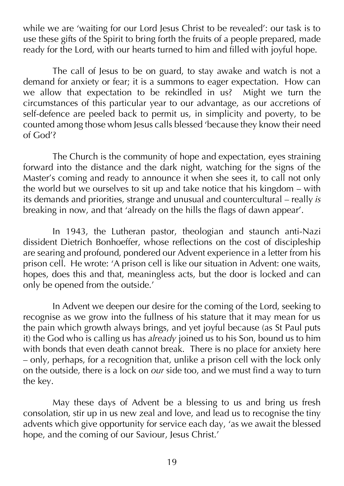while we are 'waiting for our Lord Jesus Christ to be revealed': our task is to use these gifts of the Spirit to bring forth the fruits of a people prepared, made ready for the Lord, with our hearts turned to him and filled with joyful hope.

The call of Jesus to be on guard, to stay awake and watch is not a demand for anxiety or fear; it is a summons to eager expectation. How can we allow that expectation to be rekindled in us? Might we turn the circumstances of this particular year to our advantage, as our accretions of self-defence are peeled back to permit us, in simplicity and poverty, to be counted among those whom Jesus calls blessed 'because they know their need of God'?

The Church is the community of hope and expectation, eyes straining forward into the distance and the dark night, watching for the signs of the Master's coming and ready to announce it when she sees it, to call not only the world but we ourselves to sit up and take notice that his kingdom – with its demands and priorities, strange and unusual and countercultural – really *is*  breaking in now, and that 'already on the hills the flags of dawn appear'.

In 1943, the Lutheran pastor, theologian and staunch anti-Nazi dissident Dietrich Bonhoeffer, whose reflections on the cost of discipleship are searing and profound, pondered our Advent experience in a letter from his prison cell. He wrote: 'A prison cell is like our situation in Advent: one waits, hopes, does this and that, meaningless acts, but the door is locked and can only be opened from the outside.'

In Advent we deepen our desire for the coming of the Lord, seeking to recognise as we grow into the fullness of his stature that it may mean for us the pain which growth always brings, and yet joyful because (as St Paul puts it) the God who is calling us has *already* joined us to his Son, bound us to him with bonds that even death cannot break. There is no place for anxiety here – only, perhaps, for a recognition that, unlike a prison cell with the lock only on the outside, there is a lock on *our* side too, and we must find a way to turn the key.

May these days of Advent be a blessing to us and bring us fresh consolation, stir up in us new zeal and love, and lead us to recognise the tiny advents which give opportunity for service each day, 'as we await the blessed hope, and the coming of our Saviour, Jesus Christ.'